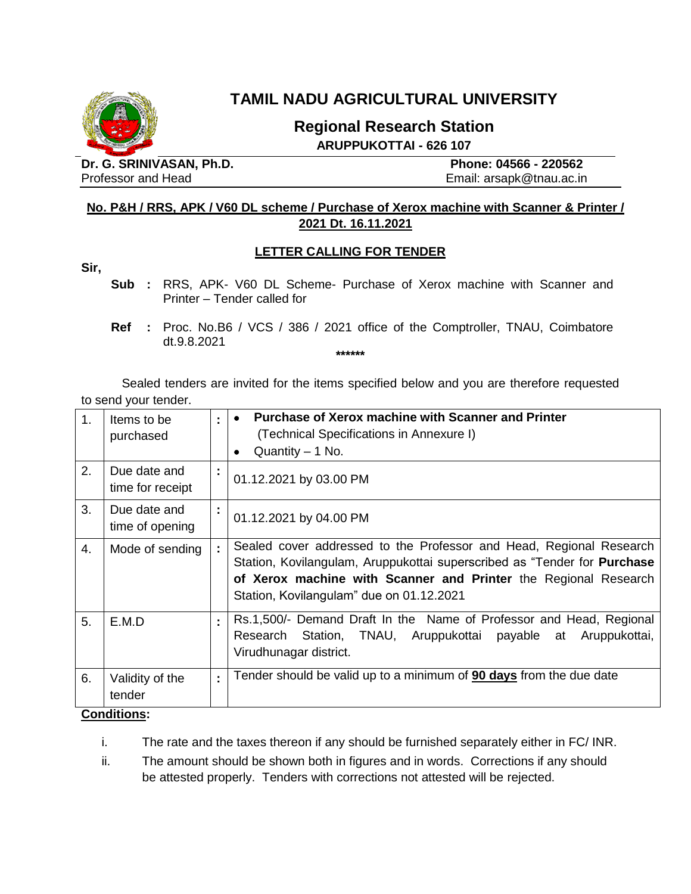

# **TAMIL NADU AGRICULTURAL UNIVERSITY**

# **Regional Research Station ARUPPUKOTTAI - 626 107**

**Dr. G. SRINIVASAN, Ph.D. Phone: 04566 - 220562** Professor and Head **Email:** arsapk@tnau.ac.in

## **No. P&H / RRS, APK / V60 DL scheme / Purchase of Xerox machine with Scanner & Printer / 2021 Dt. 16.11.2021**

#### **LETTER CALLING FOR TENDER**

**Sir,**

**Sub :** RRS, APK- V60 DL Scheme- Purchase of Xerox machine with Scanner and Printer – Tender called for

**\*\*\*\*\*\***

Sealed tenders are invited for the items specified below and you are therefore requested to send your tender.

| 1. | Items to be<br>purchased                 | ÷  | <b>Purchase of Xerox machine with Scanner and Printer</b><br>(Technical Specifications in Annexure I)<br>Quantity $-1$ No.                                                                                                                                            |
|----|------------------------------------------|----|-----------------------------------------------------------------------------------------------------------------------------------------------------------------------------------------------------------------------------------------------------------------------|
| 2. | Due date and<br>time for receipt         | ÷  | 01.12.2021 by 03.00 PM                                                                                                                                                                                                                                                |
| 3. | Due date and<br>time of opening          | ÷  | 01.12.2021 by 04.00 PM                                                                                                                                                                                                                                                |
| 4. | Mode of sending                          | Ì. | Sealed cover addressed to the Professor and Head, Regional Research<br>Station, Kovilangulam, Aruppukottai superscribed as "Tender for <b>Purchase</b><br>of Xerox machine with Scanner and Printer the Regional Research<br>Station, Kovilangulam" due on 01.12.2021 |
| 5. | E.M.D                                    | t. | Rs.1,500/- Demand Draft In the Name of Professor and Head, Regional<br>Research Station, TNAU, Aruppukottai payable at<br>Aruppukottai,<br>Virudhunagar district.                                                                                                     |
| 6. | Validity of the<br>tender<br>Conditione: | t  | Tender should be valid up to a minimum of <b>90 days</b> from the due date                                                                                                                                                                                            |

#### **Conditions:**

i. The rate and the taxes thereon if any should be furnished separately either in FC/ INR.

ii. The amount should be shown both in figures and in words. Corrections if any should be attested properly. Tenders with corrections not attested will be rejected.

**Ref :** Proc. No.B6 / VCS / 386 / 2021 office of the Comptroller, TNAU, Coimbatore dt.9.8.2021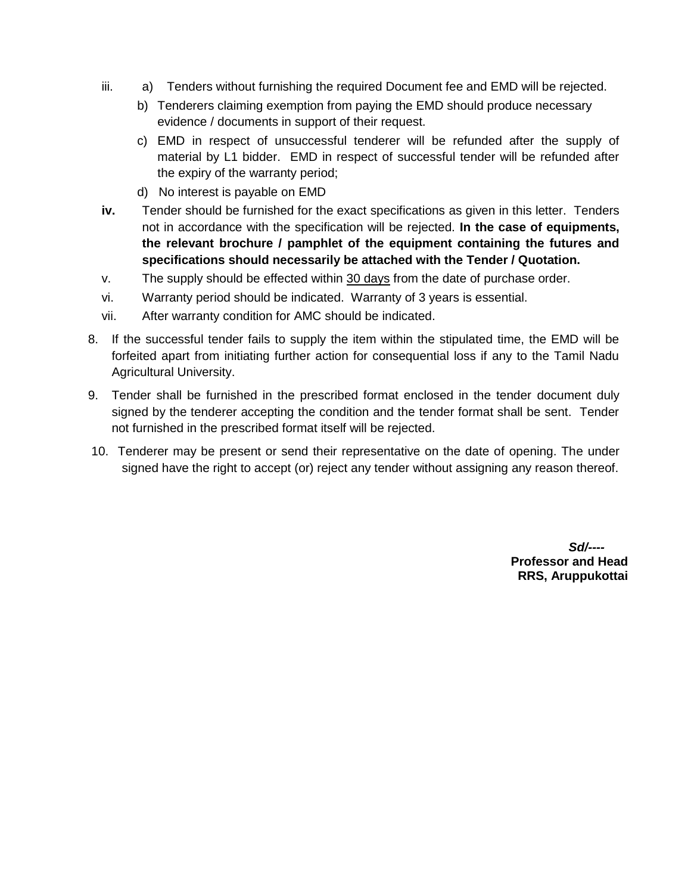- iii. a) Tenders without furnishing the required Document fee and EMD will be rejected.
	- b) Tenderers claiming exemption from paying the EMD should produce necessary evidence / documents in support of their request.
	- c) EMD in respect of unsuccessful tenderer will be refunded after the supply of material by L1 bidder. EMD in respect of successful tender will be refunded after the expiry of the warranty period;
	- d) No interest is payable on EMD
- **iv.** Tender should be furnished for the exact specifications as given in this letter. Tenders not in accordance with the specification will be rejected. **In the case of equipments, the relevant brochure / pamphlet of the equipment containing the futures and specifications should necessarily be attached with the Tender / Quotation.**
- v. The supply should be effected within 30 days from the date of purchase order.
- vi. Warranty period should be indicated. Warranty of 3 years is essential.
- vii. After warranty condition for AMC should be indicated.
- 8. If the successful tender fails to supply the item within the stipulated time, the EMD will be forfeited apart from initiating further action for consequential loss if any to the Tamil Nadu Agricultural University.
- 9. Tender shall be furnished in the prescribed format enclosed in the tender document duly signed by the tenderer accepting the condition and the tender format shall be sent. Tender not furnished in the prescribed format itself will be rejected.
- 10. Tenderer may be present or send their representative on the date of opening. The under signed have the right to accept (or) reject any tender without assigning any reason thereof.

*Sd/----* **Professor and Head RRS, Aruppukottai**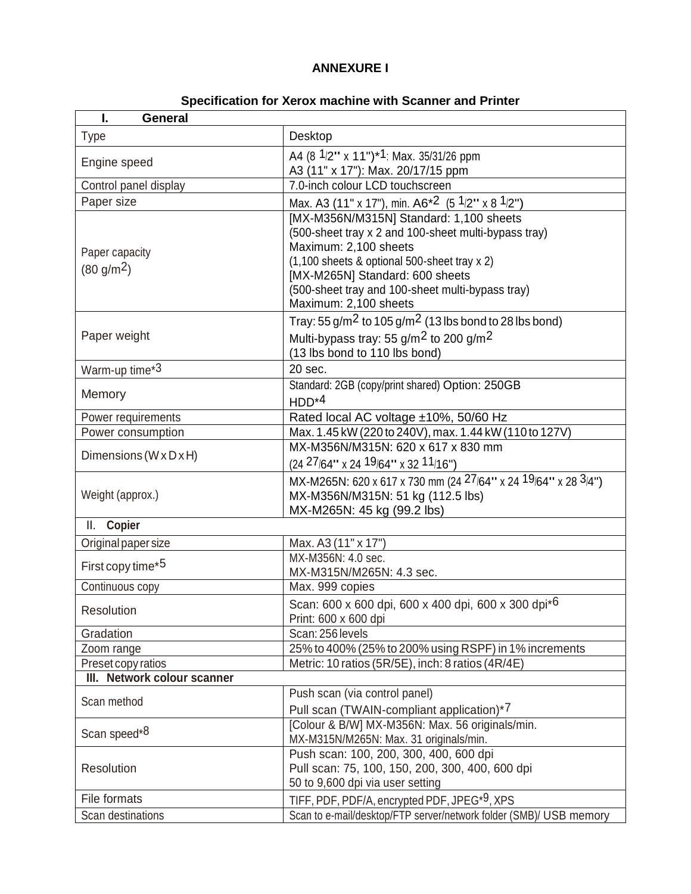## **ANNEXURE I**

| Specification for Xerox machine with Scanner and Printer |  |
|----------------------------------------------------------|--|
|----------------------------------------------------------|--|

| I.<br><b>General</b>                     |                                                                                                                                                                                                                                                                                          |  |  |  |  |
|------------------------------------------|------------------------------------------------------------------------------------------------------------------------------------------------------------------------------------------------------------------------------------------------------------------------------------------|--|--|--|--|
| <b>Type</b>                              | Desktop                                                                                                                                                                                                                                                                                  |  |  |  |  |
| Engine speed                             | A4 (8 1/2" x 11") <sup>*1</sup> : Max. 35/31/26 ppm                                                                                                                                                                                                                                      |  |  |  |  |
|                                          | A3 (11" x 17"): Max. 20/17/15 ppm                                                                                                                                                                                                                                                        |  |  |  |  |
| Control panel display                    | 7.0-inch colour LCD touchscreen                                                                                                                                                                                                                                                          |  |  |  |  |
| Paper size                               | Max. A3 (11" x 17"), min. A6 <sup>*2</sup> (5 <sup>1</sup> /2" x 8 <sup>1</sup> /2")                                                                                                                                                                                                     |  |  |  |  |
| Paper capacity<br>(80 g/m <sup>2</sup> ) | [MX-M356N/M315N] Standard: 1,100 sheets<br>(500-sheet tray x 2 and 100-sheet multi-bypass tray)<br>Maximum: 2,100 sheets<br>(1,100 sheets & optional 500-sheet tray x 2)<br>[MX-M265N] Standard: 600 sheets<br>(500-sheet tray and 100-sheet multi-bypass tray)<br>Maximum: 2,100 sheets |  |  |  |  |
| Paper weight                             | Tray: 55 g/m <sup>2</sup> to 105 g/m <sup>2</sup> (13 lbs bond to 28 lbs bond)<br>Multi-bypass tray: 55 $g/m2$ to 200 $g/m2$<br>(13 lbs bond to 110 lbs bond)                                                                                                                            |  |  |  |  |
| Warm-up time*3                           | 20 sec.                                                                                                                                                                                                                                                                                  |  |  |  |  |
| Memory                                   | Standard: 2GB (copy/print shared) Option: 250GB<br>$HDD^{*4}$                                                                                                                                                                                                                            |  |  |  |  |
| Power requirements                       | Rated local AC voltage ±10%, 50/60 Hz                                                                                                                                                                                                                                                    |  |  |  |  |
| Power consumption                        | Max. 1.45 kW (220 to 240V), max. 1.44 kW (110 to 127V)                                                                                                                                                                                                                                   |  |  |  |  |
| Dimensions ( $W \times D \times H$ )     | MX-M356N/M315N: 620 x 617 x 830 mm<br>$(24\ 27/64" \times 24\ 19/64" \times 32\ 11/16")$                                                                                                                                                                                                 |  |  |  |  |
| Weight (approx.)                         | MX-M265N: 620 x 617 x 730 mm (24 27/64" x 24 19/64" x 28 3/4")<br>MX-M356N/M315N: 51 kg (112.5 lbs)<br>MX-M265N: 45 kg (99.2 lbs)                                                                                                                                                        |  |  |  |  |
| II. Copier                               |                                                                                                                                                                                                                                                                                          |  |  |  |  |
| Original paper size                      | Max. A3 (11" x 17")                                                                                                                                                                                                                                                                      |  |  |  |  |
| First copy time*5                        | MX-M356N: 4.0 sec.<br>MX-M315N/M265N: 4.3 sec.                                                                                                                                                                                                                                           |  |  |  |  |
| Continuous copy                          | Max. 999 copies                                                                                                                                                                                                                                                                          |  |  |  |  |
| Resolution                               | Scan: 600 x 600 dpi, 600 x 400 dpi, 600 x 300 dpi*6<br>Print: 600 x 600 dpi                                                                                                                                                                                                              |  |  |  |  |
| Gradation                                | Scan: 256 levels                                                                                                                                                                                                                                                                         |  |  |  |  |
| Zoom range                               | 25% to 400% (25% to 200% using RSPF) in 1% increments                                                                                                                                                                                                                                    |  |  |  |  |
| Preset copy ratios                       | Metric: 10 ratios (5R/5E), inch: 8 ratios (4R/4E)                                                                                                                                                                                                                                        |  |  |  |  |
| III. Network colour scanner              |                                                                                                                                                                                                                                                                                          |  |  |  |  |
| Scan method                              | Push scan (via control panel)                                                                                                                                                                                                                                                            |  |  |  |  |
| Scan speed*8                             | Pull scan (TWAIN-compliant application)*7<br>[Colour & B/W] MX-M356N: Max. 56 originals/min.<br>MX-M315N/M265N: Max. 31 originals/min.                                                                                                                                                   |  |  |  |  |
| Resolution                               | Push scan: 100, 200, 300, 400, 600 dpi<br>Pull scan: 75, 100, 150, 200, 300, 400, 600 dpi<br>50 to 9,600 dpi via user setting                                                                                                                                                            |  |  |  |  |
| File formats                             | TIFF, PDF, PDF/A, encrypted PDF, JPEG*9, XPS                                                                                                                                                                                                                                             |  |  |  |  |
| Scan destinations                        | Scan to e-mail/desktop/FTP server/network folder (SMB)/ USB memory                                                                                                                                                                                                                       |  |  |  |  |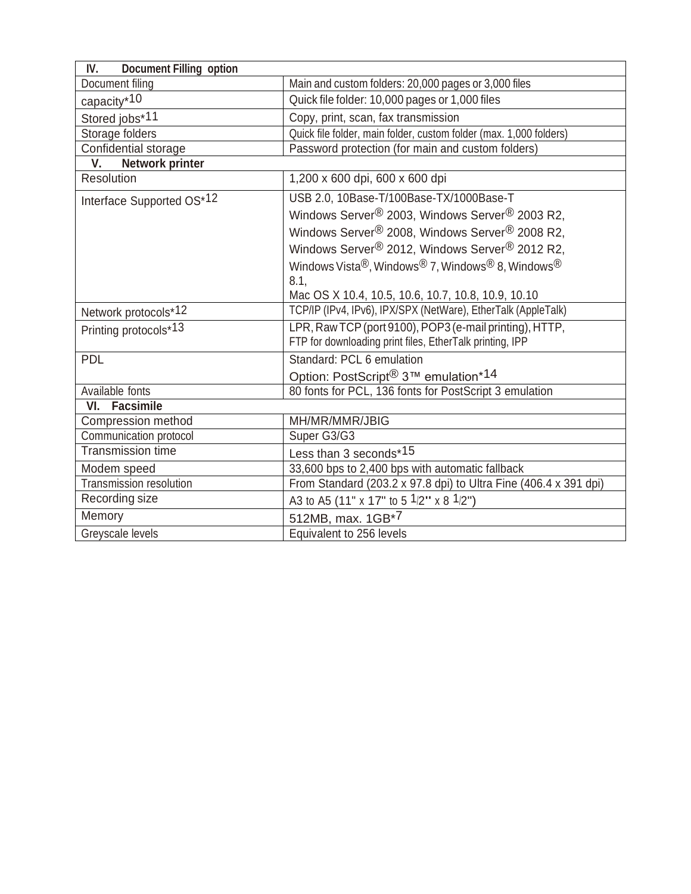| IV.<br><b>Document Filling option</b> |                                                                                                   |  |  |  |
|---------------------------------------|---------------------------------------------------------------------------------------------------|--|--|--|
| Document filing                       | Main and custom folders: 20,000 pages or 3,000 files                                              |  |  |  |
| capacity*10                           | Quick file folder: 10,000 pages or 1,000 files                                                    |  |  |  |
| Stored jobs*11                        | Copy, print, scan, fax transmission                                                               |  |  |  |
| Storage folders                       | Quick file folder, main folder, custom folder (max. 1,000 folders)                                |  |  |  |
| Confidential storage                  | Password protection (for main and custom folders)                                                 |  |  |  |
| V.<br><b>Network printer</b>          |                                                                                                   |  |  |  |
| Resolution                            | 1,200 x 600 dpi, 600 x 600 dpi                                                                    |  |  |  |
| Interface Supported OS*12             | USB 2.0, 10Base-T/100Base-TX/1000Base-T                                                           |  |  |  |
|                                       | Windows Server <sup>®</sup> 2003, Windows Server <sup>®</sup> 2003 R2,                            |  |  |  |
|                                       | Windows Server® 2008, Windows Server® 2008 R2,                                                    |  |  |  |
|                                       | Windows Server <sup>®</sup> 2012, Windows Server <sup>®</sup> 2012 R2,                            |  |  |  |
|                                       | Windows Vista <sup>®</sup> , Windows <sup>®</sup> 7, Windows <sup>®</sup> 8, Windows <sup>®</sup> |  |  |  |
|                                       | 8.1,                                                                                              |  |  |  |
|                                       | Mac OS X 10.4, 10.5, 10.6, 10.7, 10.8, 10.9, 10.10                                                |  |  |  |
| Network protocols*12                  | TCP/IP (IPv4, IPv6), IPX/SPX (NetWare), EtherTalk (AppleTalk)                                     |  |  |  |
| Printing protocols*13                 | LPR, Raw TCP (port 9100), POP3 (e-mail printing), HTTP,                                           |  |  |  |
|                                       | FTP for downloading print files, EtherTalk printing, IPP                                          |  |  |  |
| <b>PDL</b>                            | Standard: PCL 6 emulation                                                                         |  |  |  |
|                                       | Option: PostScript <sup>®</sup> 3™ emulation*14                                                   |  |  |  |
| Available fonts                       | 80 fonts for PCL, 136 fonts for PostScript 3 emulation                                            |  |  |  |
| VI. Facsimile                         |                                                                                                   |  |  |  |
| Compression method                    | MH/MR/MMR/JBIG                                                                                    |  |  |  |
| Communication protocol                | Super G3/G3                                                                                       |  |  |  |
| Transmission time                     | Less than 3 seconds*15                                                                            |  |  |  |
| Modem speed                           | 33,600 bps to 2,400 bps with automatic fallback                                                   |  |  |  |
| Transmission resolution               | From Standard (203.2 x 97.8 dpi) to Ultra Fine (406.4 x 391 dpi)                                  |  |  |  |
| Recording size                        | A3 to A5 (11" x 17" to 5 $1/2$ " x 8 $1/2$ ")                                                     |  |  |  |
| Memory                                | 512MB, max. 1GB*7                                                                                 |  |  |  |
| Greyscale levels                      | Equivalent to 256 levels                                                                          |  |  |  |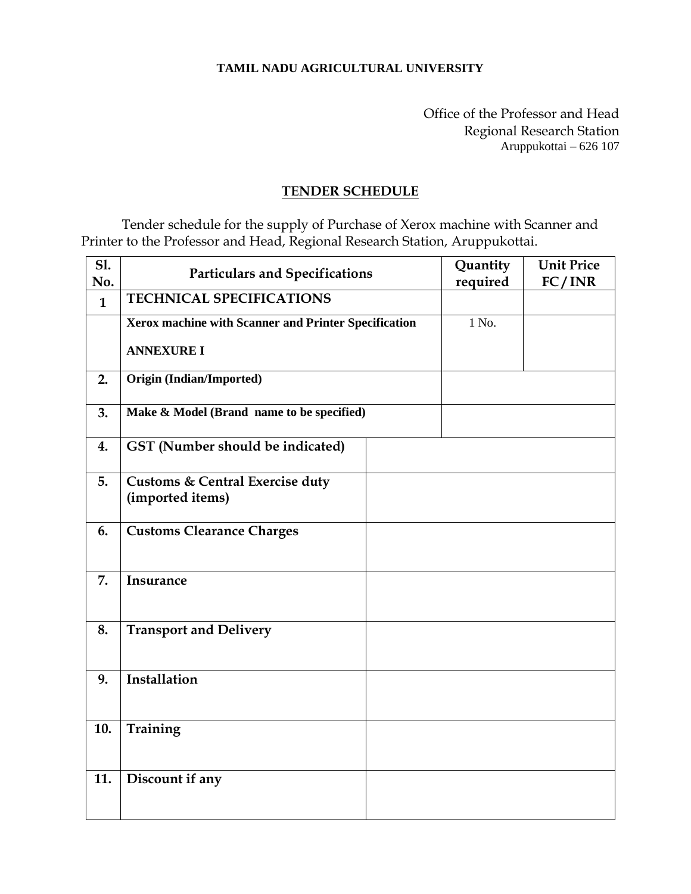#### **TAMIL NADU AGRICULTURAL UNIVERSITY**

Office of the Professor and Head Regional Research Station Aruppukottai – 626 107

# **TENDER SCHEDULE**

Tender schedule for the supply of Purchase of Xerox machine with Scanner and Printer to the Professor and Head, Regional Research Station, Aruppukottai.

| <b>S1.</b><br>No. | <b>Particulars and Specifications</b>                          |  | Quantity<br>required | <b>Unit Price</b><br>FC/INR |
|-------------------|----------------------------------------------------------------|--|----------------------|-----------------------------|
| $\mathbf{1}$      | <b>TECHNICAL SPECIFICATIONS</b>                                |  |                      |                             |
|                   | Xerox machine with Scanner and Printer Specification           |  | 1 No.                |                             |
|                   | <b>ANNEXURE I</b>                                              |  |                      |                             |
| 2.                | <b>Origin (Indian/Imported)</b>                                |  |                      |                             |
| 3.                | Make & Model (Brand name to be specified)                      |  |                      |                             |
| 4.                | GST (Number should be indicated)                               |  |                      |                             |
| 5.                | <b>Customs &amp; Central Exercise duty</b><br>(imported items) |  |                      |                             |
| 6.                | <b>Customs Clearance Charges</b>                               |  |                      |                             |
| 7.                | Insurance                                                      |  |                      |                             |
| 8.                | <b>Transport and Delivery</b>                                  |  |                      |                             |
| 9.                | Installation                                                   |  |                      |                             |
| 10.               | Training                                                       |  |                      |                             |
| 11.               | Discount if any                                                |  |                      |                             |